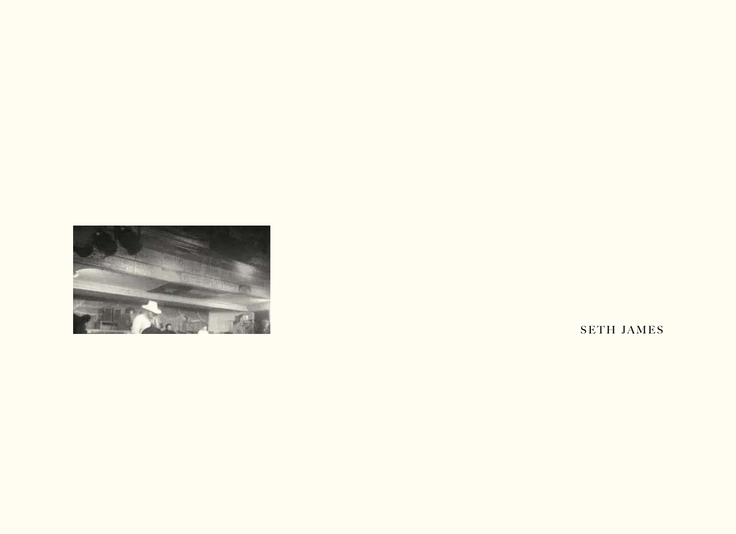

SETH JAMES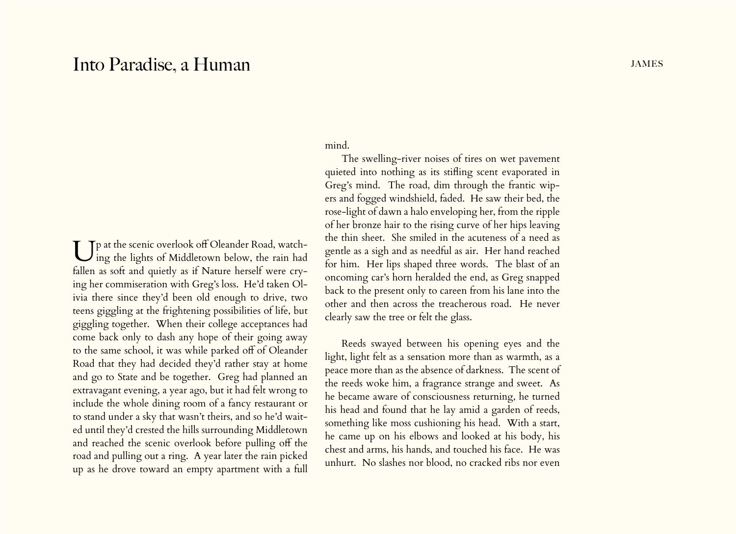## Into Paradise, a Human and the state of the state of the state of the state of the states of the states of the states of the states of the states of the states of the states of the states of the states of the states of the

Up at the scenic overlook off Oleander Road, watch- $J$  ing the lights of Middletown below, the rain had fallen as soft and quietly as if Nature herself were crying her commiseration with Greg's loss. He'd taken Olivia there since they'd been old enough to drive, two teens giggling at the frightening possibilities of life, but giggling together. When their college acceptances had come back only to dash any hope of their going away to the same school, it was while parked off of Oleander Road that they had decided they'd rather stay at home and go to State and be together. Greg had planned an extravagant evening, a year ago, but it had felt wrong to include the whole dining room of a fancy restaurant or to stand under a sky that wasn't theirs, and so he'd waited until they'd crested the hills surrounding Middletown and reached the scenic overlook before pulling off the road and pulling out a ring. A year later the rain picked up as he drove toward an empty apartment with a full

## mind.

The swelling-river noises of tires on wet pavement quieted into nothing as its stifling scent evaporated in Greg's mind. The road, dim through the frantic wipers and fogged windshield, faded. He saw their bed, the rose-light of dawn a halo enveloping her, from the ripple of her bronze hair to the rising curve of her hips leaving the thin sheet. She smiled in the acuteness of a need as gentle as a sigh and as needful as air. Her hand reached for him. Her lips shaped three words. The blast of an oncoming car's horn heralded the end, as Greg snapped back to the present only to careen from his lane into the other and then across the treacherous road. He never clearly saw the tree or felt the glass.

Reeds swayed between his opening eyes and the light, light felt as a sensation more than as warmth, as a peace more than as the absence of darkness. The scent of the reeds woke him, a fragrance strange and sweet. As he became aware of consciousness returning, he turned his head and found that he lay amid a garden of reeds, something like moss cushioning his head. With a start, he came up on his elbows and looked at his body, his chest and arms, his hands, and touched his face. He was unhurt. No slashes nor blood, no cracked ribs nor even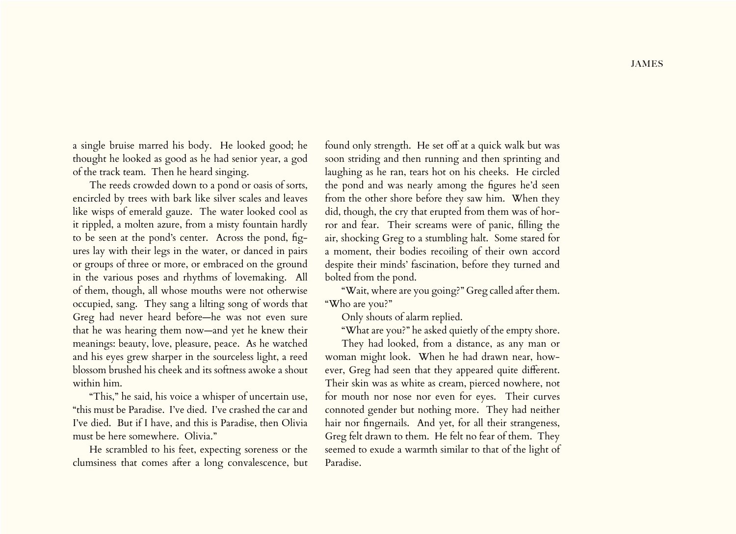a single bruise marred his body. He looked good; he thought he looked as good as he had senior year, a god of the track team. Then he heard singing.

The reeds crowded down to a pond or oasis of sorts, encircled by trees with bark like silver scales and leaves like wisps of emerald gauze. The water looked cool as it rippled, a molten azure, from a misty fountain hardly to be seen at the pond's center. Across the pond, figures lay with their legs in the water, or danced in pairs or groups of three or more, or embraced on the ground in the various poses and rhythms of lovemaking. All of them, though, all whose mouths were not otherwise occupied, sang. They sang a lilting song of words that Greg had never heard before—he was not even sure that he was hearing them now—and yet he knew their meanings: beauty, love, pleasure, peace. As he watched and his eyes grew sharper in the sourceless light, a reed blossom brushed his cheek and its softness awoke a shout within him.

"This," he said, his voice a whisper of uncertain use, "this must be Paradise. I've died. I've crashed the car and I've died. But if I have, and this is Paradise, then Olivia must be here somewhere. Olivia."

He scrambled to his feet, expecting soreness or the clumsiness that comes after a long convalescence, but

found only strength. He set off at a quick walk but was soon striding and then running and then sprinting and laughing as he ran, tears hot on his cheeks. He circled the pond and was nearly among the figures he'd seen from the other shore before they saw him. When they did, though, the cry that erupted from them was of horror and fear. Their screams were of panic, filling the air, shocking Greg to a stumbling halt. Some stared for a moment, their bodies recoiling of their own accord despite their minds' fascination, before they turned and bolted from the pond.

"Wait, where are you going?" Greg called after them. "Who are you?"

Only shouts of alarm replied.

"What are you?" he asked quietly of the empty shore.

They had looked, from a distance, as any man or woman might look. When he had drawn near, however, Greg had seen that they appeared quite different. Their skin was as white as cream, pierced nowhere, not for mouth nor nose nor even for eyes. Their curves connoted gender but nothing more. They had neither hair nor fingernails. And yet, for all their strangeness, Greg felt drawn to them. He felt no fear of them. They seemed to exude a warmth similar to that of the light of Paradise.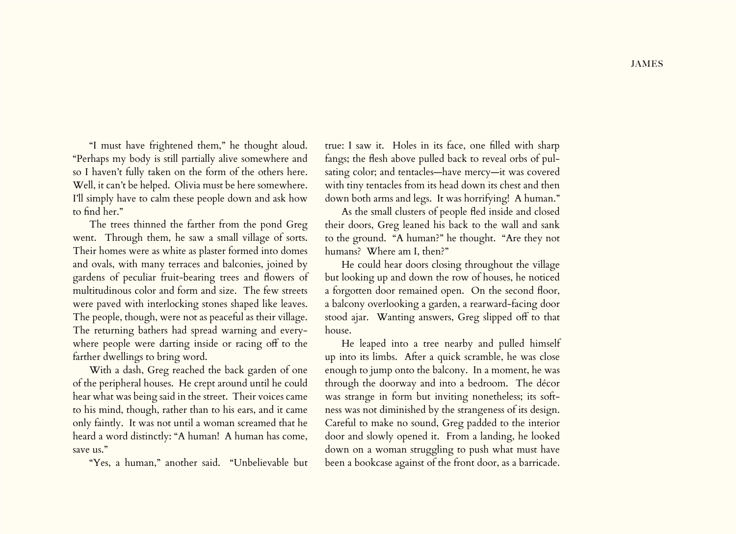"I must have frightened them," he thought aloud. "Perhaps my body is still partially alive somewhere and so I haven't fully taken on the form of the others here. Well, it can't be helped. Olivia must be here somewhere. I'll simply have to calm these people down and ask how to find her."

The trees thinned the farther from the pond Greg went. Through them, he saw a small village of sorts. Their homes were as white as plaster formed into domes and ovals, with many terraces and balconies, joined by gardens of peculiar fruit-bearing trees and flowers of multitudinous color and form and size. The few streets were paved with interlocking stones shaped like leaves. The people, though, were not as peaceful as their village. The returning bathers had spread warning and everywhere people were darting inside or racing off to the farther dwellings to bring word.

With a dash, Greg reached the back garden of one of the peripheral houses. He crept around until he could hear what was being said in the street. Their voices came to his mind, though, rather than to his ears, and it came only faintly. It was not until a woman screamed that he heard a word distinctly: "A human! A human has come, save us."

"Yes, a human," another said. "Unbelievable but

true: I saw it. Holes in its face, one filled with sharp fangs; the flesh above pulled back to reveal orbs of pulsating color; and tentacles—have mercy—it was covered with tiny tentacles from its head down its chest and then down both arms and legs. It was horrifying! A human."

As the small clusters of people fled inside and closed their doors, Greg leaned his back to the wall and sank to the ground. "A human?" he thought. "Are they not humans? Where am I, then?"

He could hear doors closing throughout the village but looking up and down the row of houses, he noticed a forgotten door remained open. On the second floor, a balcony overlooking a garden, a rearward-facing door stood ajar. Wanting answers, Greg slipped off to that house.

He leaped into a tree nearby and pulled himself up into its limbs. After a quick scramble, he was close enough to jump onto the balcony. In a moment, he was through the doorway and into a bedroom. The décor was strange in form but inviting nonetheless; its softness was not diminished by the strangeness of its design. Careful to make no sound, Greg padded to the interior door and slowly opened it. From a landing, he looked down on a woman struggling to push what must have been a bookcase against of the front door, as a barricade.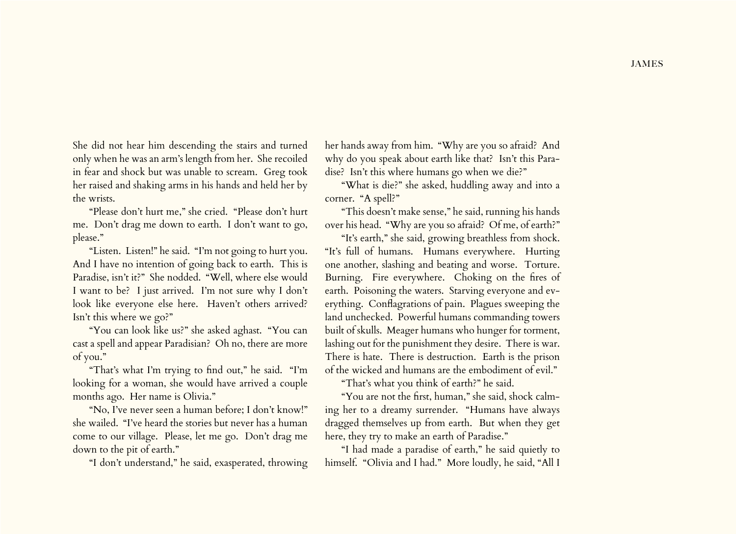She did not hear him descending the stairs and turned only when he was an arm's length from her. She recoiled in fear and shock but was unable to scream. Greg took her raised and shaking arms in his hands and held her by the wrists.

"Please don't hurt me," she cried. "Please don't hurt me. Don't drag me down to earth. I don't want to go, please."

"Listen. Listen!" he said. "I'm not going to hurt you. And I have no intention of going back to earth. This is Paradise, isn't it?" She nodded. "Well, where else would I want to be? I just arrived. I'm not sure why I don't look like everyone else here. Haven't others arrived? Isn't this where we go?"

"You can look like us?" she asked aghast. "You can cast a spell and appear Paradisian? Oh no, there are more of you."

"That's what I'm trying to find out," he said. "I'm looking for a woman, she would have arrived a couple months ago. Her name is Olivia."

"No, I've never seen a human before; I don't know!" she wailed. "I've heard the stories but never has a human come to our village. Please, let me go. Don't drag me down to the pit of earth."

"I don't understand," he said, exasperated, throwing

her hands away from him. "Why are you so afraid? And why do you speak about earth like that? Isn't this Paradise? Isn't this where humans go when we die?"

"What is die?" she asked, huddling away and into a corner. "A spell?"

"This doesn't make sense," he said, running his hands over his head. "Why are you so afraid? Of me, of earth?"

"It's earth," she said, growing breathless from shock. "It's full of humans. Humans everywhere. Hurting one another, slashing and beating and worse. Torture. Burning. Fire everywhere. Choking on the fires of earth. Poisoning the waters. Starving everyone and everything. Conflagrations of pain. Plagues sweeping the land unchecked. Powerful humans commanding towers built of skulls. Meager humans who hunger for torment, lashing out for the punishment they desire. There is war. There is hate. There is destruction. Earth is the prison of the wicked and humans are the embodiment of evil."

"That's what you think of earth?" he said.

"You are not the first, human," she said, shock calming her to a dreamy surrender. "Humans have always dragged themselves up from earth. But when they get here, they try to make an earth of Paradise."

"I had made a paradise of earth," he said quietly to himself. "Olivia and I had." More loudly, he said, "All I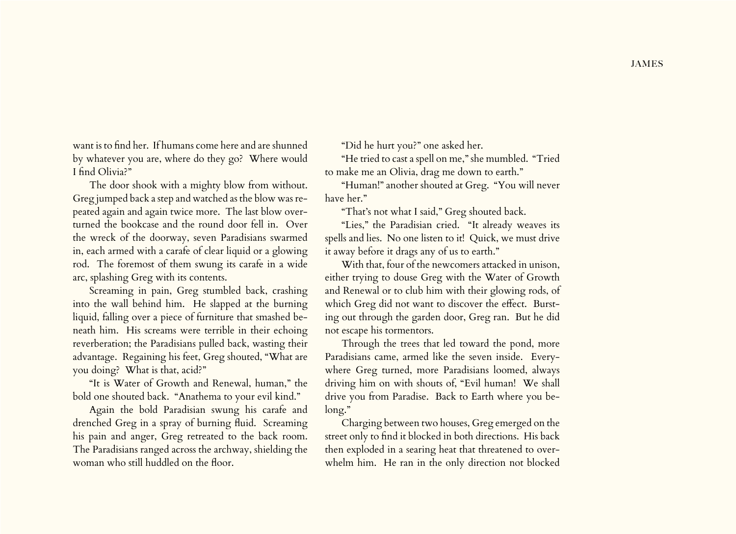want is to find her. If humans come here and are shunned by whatever you are, where do they go? Where would I find Olivia?"

The door shook with a mighty blow from without. Greg jumped back a step and watched as the blow was repeated again and again twice more. The last blow overturned the bookcase and the round door fell in. Over the wreck of the doorway, seven Paradisians swarmed in, each armed with a carafe of clear liquid or a glowing rod. The foremost of them swung its carafe in a wide arc, splashing Greg with its contents.

Screaming in pain, Greg stumbled back, crashing into the wall behind him. He slapped at the burning liquid, falling over a piece of furniture that smashed beneath him. His screams were terrible in their echoing reverberation; the Paradisians pulled back, wasting their advantage. Regaining his feet, Greg shouted, "What are you doing? What is that, acid?"

"It is Water of Growth and Renewal, human," the bold one shouted back. "Anathema to your evil kind."

Again the bold Paradisian swung his carafe and drenched Greg in a spray of burning fluid. Screaming his pain and anger, Greg retreated to the back room. The Paradisians ranged across the archway, shielding the woman who still huddled on the floor.

"Did he hurt you?" one asked her.

"He tried to cast a spell on me," she mumbled. "Tried to make me an Olivia, drag me down to earth."

"Human!" another shouted at Greg. "You will never have her."

"That's not what I said," Greg shouted back.

"Lies," the Paradisian cried. "It already weaves its spells and lies. No one listen to it! Quick, we must drive it away before it drags any of us to earth."

With that, four of the newcomers attacked in unison, either trying to douse Greg with the Water of Growth and Renewal or to club him with their glowing rods, of which Greg did not want to discover the effect. Bursting out through the garden door, Greg ran. But he did not escape his tormentors.

Through the trees that led toward the pond, more Paradisians came, armed like the seven inside. Everywhere Greg turned, more Paradisians loomed, always driving him on with shouts of, "Evil human! We shall drive you from Paradise. Back to Earth where you belong."

Charging between two houses, Greg emerged on the street only to find it blocked in both directions. His back then exploded in a searing heat that threatened to overwhelm him. He ran in the only direction not blocked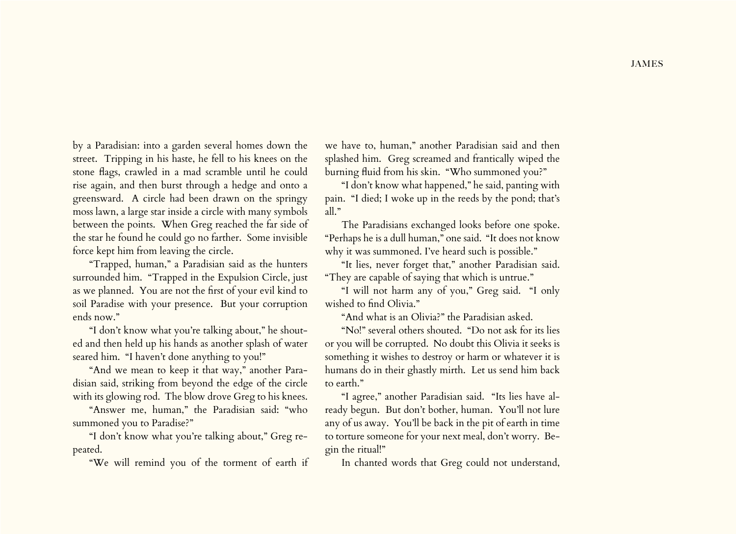by a Paradisian: into a garden several homes down the street. Tripping in his haste, he fell to his knees on the stone flags, crawled in a mad scramble until he could rise again, and then burst through a hedge and onto a greensward. A circle had been drawn on the springy moss lawn, a large star inside a circle with many symbols between the points. When Greg reached the far side of the star he found he could go no farther. Some invisible force kept him from leaving the circle.

"Trapped, human," a Paradisian said as the hunters surrounded him. "Trapped in the Expulsion Circle, just as we planned. You are not the first of your evil kind to soil Paradise with your presence. But your corruption ends now."

"I don't know what you're talking about," he shouted and then held up his hands as another splash of water seared him. "I haven't done anything to you!"

"And we mean to keep it that way," another Paradisian said, striking from beyond the edge of the circle with its glowing rod. The blow drove Greg to his knees.

"Answer me, human," the Paradisian said: "who summoned you to Paradise?"

"I don't know what you're talking about," Greg repeated.

"We will remind you of the torment of earth if

we have to, human," another Paradisian said and then splashed him. Greg screamed and frantically wiped the burning fluid from his skin. "Who summoned you?"

"I don't know what happened," he said, panting with pain. "I died; I woke up in the reeds by the pond; that's all."

The Paradisians exchanged looks before one spoke. "Perhaps he is a dull human," one said. "It does not know why it was summoned. I've heard such is possible."

"It lies, never forget that," another Paradisian said. "They are capable of saying that which is untrue."

"I will not harm any of you," Greg said. "I only wished to find Olivia."

"And what is an Olivia?" the Paradisian asked.

"No!" several others shouted. "Do not ask for its lies or you will be corrupted. No doubt this Olivia it seeks is something it wishes to destroy or harm or whatever it is humans do in their ghastly mirth. Let us send him back to earth."

"I agree," another Paradisian said. "Its lies have already begun. But don't bother, human. You'll not lure any of us away. You'll be back in the pit of earth in time to torture someone for your next meal, don't worry. Begin the ritual!"

In chanted words that Greg could not understand,